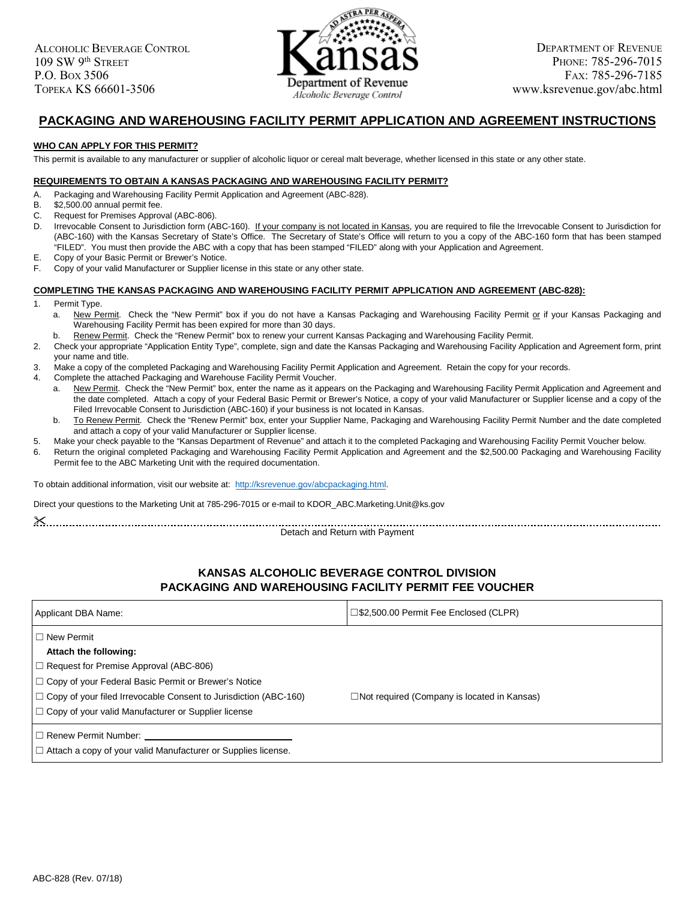

# **PACKAGING AND WAREHOUSING FACILITY PERMIT APPLICATION AND AGREEMENT INSTRUCTIONS**

### **WHO CAN APPLY FOR THIS PERMIT?**

This permit is available to any manufacturer or supplier of alcoholic liquor or cereal malt beverage, whether licensed in this state or any other state.

#### **REQUIREMENTS TO OBTAIN A KANSAS PACKAGING AND WAREHOUSING FACILITY PERMIT?**

- A. Packaging and Warehousing Facility Permit Application and Agreement (ABC-828).<br>B. \$2.500.00 annual permit fee.
- B. \$2,500.00 annual permit fee.<br>C. Request for Premises Approv
- Request for Premises Approval (ABC-806).
- D. Irrevocable Consent to Jurisdiction form (ABC-160). If your company is not located in Kansas, you are required to file the Irrevocable Consent to Jurisdiction for (ABC-160) with the Kansas Secretary of State's Office. The Secretary of State's Office will return to you a copy of the ABC-160 form that has been stamped "FILED". You must then provide the ABC with a copy that has been stamped "FILED" along with your Application and Agreement.

E. Copy of your Basic Permit or Brewer's Notice.

F. Copy of your valid Manufacturer or Supplier license in this state or any other state.

#### **COMPLETING THE KANSAS PACKAGING AND WAREHOUSING FACILITY PERMIT APPLICATION AND AGREEMENT (ABC-828):**

- 1. Permit Type.
	- a. New Permit. Check the "New Permit" box if you do not have a Kansas Packaging and Warehousing Facility Permit or if your Kansas Packaging and Warehousing Facility Permit has been expired for more than 30 days.
- Renew Permit. Check the "Renew Permit" box to renew your current Kansas Packaging and Warehousing Facility Permit.
- 2. Check your appropriate "Application Entity Type", complete, sign and date the Kansas Packaging and Warehousing Facility Application and Agreement form, print your name and title.
- 3. Make a copy of the completed Packaging and Warehousing Facility Permit Application and Agreement. Retain the copy for your records.
- 4. Complete the attached Packaging and Warehouse Facility Permit Voucher.
	- a. New Permit. Check the "New Permit" box, enter the name as it appears on the Packaging and Warehousing Facility Permit Application and Agreement and the date completed. Attach a copy of your Federal Basic Permit or Brewer's Notice, a copy of your valid Manufacturer or Supplier license and a copy of the Filed Irrevocable Consent to Jurisdiction (ABC-160) if your business is not located in Kansas.
	- b. To Renew Permit. Check the "Renew Permit" box, enter your Supplier Name, Packaging and Warehousing Facility Permit Number and the date completed and attach a copy of your valid Manufacturer or Supplier license.
- 5. Make your check payable to the "Kansas Department of Revenue" and attach it to the completed Packaging and Warehousing Facility Permit Voucher below.
- 6. Return the original completed Packaging and Warehousing Facility Permit Application and Agreement and the \$2,500.00 Packaging and Warehousing Facility Permit fee to the ABC Marketing Unit with the required documentation.

To obtain additional information, visit our website at: http://ksrevenue.gov/abcpackaging.html.

Direct your questions to the Marketing Unit at 785-296-7015 or e-mail to KDOR\_ABC.Marketing.Unit@ks.gov

| N |             |  |
|---|-------------|--|
|   | ٧<br>٠<br>٠ |  |
| ٠ |             |  |

Detach and Return with Payment

### **KANSAS ALCOHOLIC BEVERAGE CONTROL DIVISION PACKAGING AND WAREHOUSING FACILITY PERMIT FEE VOUCHER**

| Applicant DBA Name:                                                                              | □\$2,500.00 Permit Fee Enclosed (CLPR)             |
|--------------------------------------------------------------------------------------------------|----------------------------------------------------|
| $\Box$ New Permit<br>Attach the following:                                                       |                                                    |
| $\Box$ Request for Premise Approval (ABC-806)                                                    |                                                    |
| □ Copy of your Federal Basic Permit or Brewer's Notice                                           |                                                    |
| $\Box$ Copy of your filed Irrevocable Consent to Jurisdiction (ABC-160)                          | $\Box$ Not required (Company is located in Kansas) |
| $\Box$ Copy of your valid Manufacturer or Supplier license                                       |                                                    |
| l □ Renew Permit Number:<br>$\Box$ Attach a copy of your valid Manufacturer or Supplies license. |                                                    |